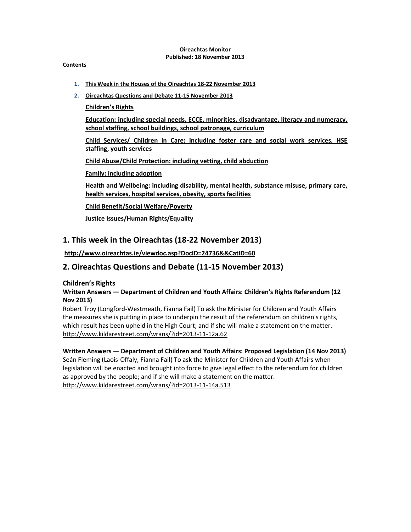#### Oireachtas Monitor Published: 18 November 2013

#### **Contents**

- 1. This Week in the Houses of the Oireachtas 18-22 November 2013
- 2. Oireachtas Questions and Debate 11-15 November 2013
	- Children's Rights

Education: including special needs, ECCE, minorities, disadvantage, literacy and numeracy, school staffing, school buildings, school patronage, curriculum

Child Services/ Children in Care: including foster care and social work services, HSE staffing, youth services

Child Abuse/Child Protection: including vetting, child abduction

Family: including adoption

Health and Wellbeing: including disability, mental health, substance misuse, primary care, health services, hospital services, obesity, sports facilities

Child Benefit/Social Welfare/Poverty

Justice Issues/Human Rights/Equality

# 1. This week in the Oireachtas (18-22 November 2013)

http://www.oireachtas.ie/viewdoc.asp?DocID=24736&&CatID=60

# 2. Oireachtas Questions and Debate (11-15 November 2013)

### Children's Rights

### Written Answers — Department of Children and Youth Affairs: Children's Rights Referendum (12 Nov 2013)

Robert Troy (Longford-Westmeath, Fianna Fail) To ask the Minister for Children and Youth Affairs the measures she is putting in place to underpin the result of the referendum on children's rights, which result has been upheld in the High Court; and if she will make a statement on the matter. http://www.kildarestreet.com/wrans/?id=2013-11-12a.62

# Written Answers — Department of Children and Youth Affairs: Proposed Legislation (14 Nov 2013)

Seán Fleming (Laois-Offaly, Fianna Fail) To ask the Minister for Children and Youth Affairs when legislation will be enacted and brought into force to give legal effect to the referendum for children as approved by the people; and if she will make a statement on the matter. http://www.kildarestreet.com/wrans/?id=2013-11-14a.513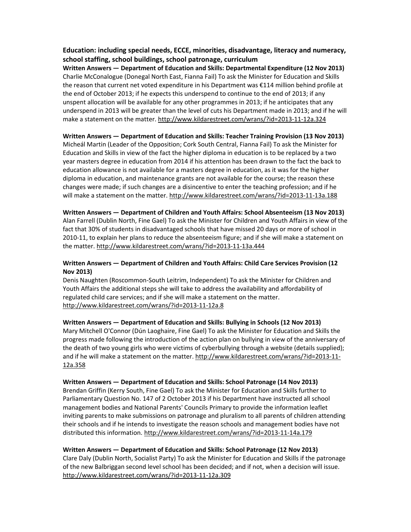### Education: including special needs, ECCE, minorities, disadvantage, literacy and numeracy, school staffing, school buildings, school patronage, curriculum

Written Answers — Department of Education and Skills: Departmental Expenditure (12 Nov 2013) Charlie McConalogue (Donegal North East, Fianna Fail) To ask the Minister for Education and Skills the reason that current net voted expenditure in his Department was €114 million behind profile at the end of October 2013; if he expects this underspend to continue to the end of 2013; if any unspent allocation will be available for any other programmes in 2013; if he anticipates that any underspend in 2013 will be greater than the level of cuts his Department made in 2013; and if he will make a statement on the matter. http://www.kildarestreet.com/wrans/?id=2013-11-12a.324

#### Written Answers — Department of Education and Skills: Teacher Training Provision (13 Nov 2013)

Micheál Martin (Leader of the Opposition; Cork South Central, Fianna Fail) To ask the Minister for Education and Skills in view of the fact the higher diploma in education is to be replaced by a two year masters degree in education from 2014 if his attention has been drawn to the fact the back to education allowance is not available for a masters degree in education, as it was for the higher diploma in education, and maintenance grants are not available for the course; the reason these changes were made; if such changes are a disincentive to enter the teaching profession; and if he will make a statement on the matter. http://www.kildarestreet.com/wrans/?id=2013-11-13a.188

## Written Answers — Department of Children and Youth Affairs: School Absenteeism (13 Nov 2013)

Alan Farrell (Dublin North, Fine Gael) To ask the Minister for Children and Youth Affairs in view of the fact that 30% of students in disadvantaged schools that have missed 20 days or more of school in 2010-11, to explain her plans to reduce the absenteeism figure; and if she will make a statement on the matter. http://www.kildarestreet.com/wrans/?id=2013-11-13a.444

### Written Answers — Department of Children and Youth Affairs: Child Care Services Provision (12 Nov 2013)

Denis Naughten (Roscommon-South Leitrim, Independent) To ask the Minister for Children and Youth Affairs the additional steps she will take to address the availability and affordability of regulated child care services; and if she will make a statement on the matter. http://www.kildarestreet.com/wrans/?id=2013-11-12a.8

#### Written Answers — Department of Education and Skills: Bullying in Schools (12 Nov 2013)

Mary Mitchell O'Connor (Dún Laoghaire, Fine Gael) To ask the Minister for Education and Skills the progress made following the introduction of the action plan on bullying in view of the anniversary of the death of two young girls who were victims of cyberbullying through a website (details supplied); and if he will make a statement on the matter. http://www.kildarestreet.com/wrans/?id=2013-11- 12a.358

### Written Answers — Department of Education and Skills: School Patronage (14 Nov 2013)

Brendan Griffin (Kerry South, Fine Gael) To ask the Minister for Education and Skills further to Parliamentary Question No. 147 of 2 October 2013 if his Department have instructed all school management bodies and National Parents' Councils Primary to provide the information leaflet inviting parents to make submissions on patronage and pluralism to all parents of children attending their schools and if he intends to investigate the reason schools and management bodies have not distributed this information. http://www.kildarestreet.com/wrans/?id=2013-11-14a.179

### Written Answers — Department of Education and Skills: School Patronage (12 Nov 2013)

Clare Daly (Dublin North, Socialist Party) To ask the Minister for Education and Skills if the patronage of the new Balbriggan second level school has been decided; and if not, when a decision will issue. http://www.kildarestreet.com/wrans/?id=2013-11-12a.309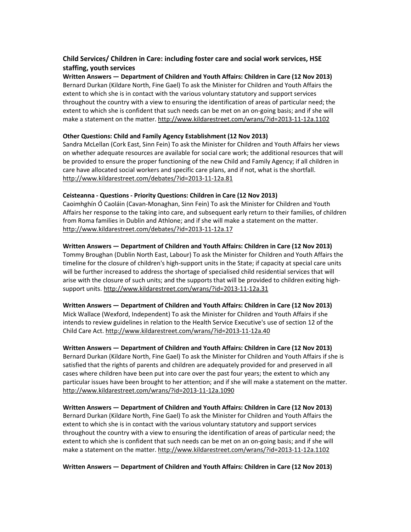# Child Services/ Children in Care: including foster care and social work services, HSE staffing, youth services

Written Answers — Department of Children and Youth Affairs: Children in Care (12 Nov 2013) Bernard Durkan (Kildare North, Fine Gael) To ask the Minister for Children and Youth Affairs the extent to which she is in contact with the various voluntary statutory and support services throughout the country with a view to ensuring the identification of areas of particular need; the extent to which she is confident that such needs can be met on an on-going basis; and if she will make a statement on the matter. http://www.kildarestreet.com/wrans/?id=2013-11-12a.1102

#### Other Questions: Child and Family Agency Establishment (12 Nov 2013)

Sandra McLellan (Cork East, Sinn Fein) To ask the Minister for Children and Youth Affairs her views on whether adequate resources are available for social care work; the additional resources that will be provided to ensure the proper functioning of the new Child and Family Agency; if all children in care have allocated social workers and specific care plans, and if not, what is the shortfall. http://www.kildarestreet.com/debates/?id=2013-11-12a.81

### Ceisteanna - Questions - Priority Questions: Children in Care (12 Nov 2013)

Caoimhghín Ó Caoláin (Cavan-Monaghan, Sinn Fein) To ask the Minister for Children and Youth Affairs her response to the taking into care, and subsequent early return to their families, of children from Roma families in Dublin and Athlone; and if she will make a statement on the matter. http://www.kildarestreet.com/debates/?id=2013-11-12a.17

### Written Answers — Department of Children and Youth Affairs: Children in Care (12 Nov 2013)

Tommy Broughan (Dublin North East, Labour) To ask the Minister for Children and Youth Affairs the timeline for the closure of children's high-support units in the State; if capacity at special care units will be further increased to address the shortage of specialised child residential services that will arise with the closure of such units; and the supports that will be provided to children exiting highsupport units. http://www.kildarestreet.com/wrans/?id=2013-11-12a.31

#### Written Answers — Department of Children and Youth Affairs: Children in Care (12 Nov 2013)

Mick Wallace (Wexford, Independent) To ask the Minister for Children and Youth Affairs if she intends to review guidelines in relation to the Health Service Executive's use of section 12 of the Child Care Act. http://www.kildarestreet.com/wrans/?id=2013-11-12a.40

### Written Answers — Department of Children and Youth Affairs: Children in Care (12 Nov 2013)

Bernard Durkan (Kildare North, Fine Gael) To ask the Minister for Children and Youth Affairs if she is satisfied that the rights of parents and children are adequately provided for and preserved in all cases where children have been put into care over the past four years; the extent to which any particular issues have been brought to her attention; and if she will make a statement on the matter. http://www.kildarestreet.com/wrans/?id=2013-11-12a.1090

### Written Answers — Department of Children and Youth Affairs: Children in Care (12 Nov 2013)

Bernard Durkan (Kildare North, Fine Gael) To ask the Minister for Children and Youth Affairs the extent to which she is in contact with the various voluntary statutory and support services throughout the country with a view to ensuring the identification of areas of particular need; the extent to which she is confident that such needs can be met on an on-going basis; and if she will make a statement on the matter. http://www.kildarestreet.com/wrans/?id=2013-11-12a.1102

Written Answers — Department of Children and Youth Affairs: Children in Care (12 Nov 2013)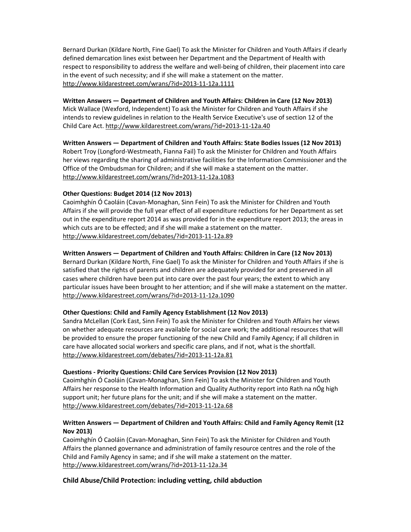Bernard Durkan (Kildare North, Fine Gael) To ask the Minister for Children and Youth Affairs if clearly defined demarcation lines exist between her Department and the Department of Health with respect to responsibility to address the welfare and well-being of children, their placement into care in the event of such necessity; and if she will make a statement on the matter. http://www.kildarestreet.com/wrans/?id=2013-11-12a.1111

#### Written Answers — Department of Children and Youth Affairs: Children in Care (12 Nov 2013)

Mick Wallace (Wexford, Independent) To ask the Minister for Children and Youth Affairs if she intends to review guidelines in relation to the Health Service Executive's use of section 12 of the Child Care Act. http://www.kildarestreet.com/wrans/?id=2013-11-12a.40

Written Answers — Department of Children and Youth Affairs: State Bodies Issues (12 Nov 2013) Robert Troy (Longford-Westmeath, Fianna Fail) To ask the Minister for Children and Youth Affairs her views regarding the sharing of administrative facilities for the Information Commissioner and the Office of the Ombudsman for Children; and if she will make a statement on the matter. http://www.kildarestreet.com/wrans/?id=2013-11-12a.1083

### Other Questions: Budget 2014 (12 Nov 2013)

Caoimhghín Ó Caoláin (Cavan-Monaghan, Sinn Fein) To ask the Minister for Children and Youth Affairs if she will provide the full year effect of all expenditure reductions for her Department as set out in the expenditure report 2014 as was provided for in the expenditure report 2013; the areas in which cuts are to be effected; and if she will make a statement on the matter. http://www.kildarestreet.com/debates/?id=2013-11-12a.89

### Written Answers — Department of Children and Youth Affairs: Children in Care (12 Nov 2013)

Bernard Durkan (Kildare North, Fine Gael) To ask the Minister for Children and Youth Affairs if she is satisfied that the rights of parents and children are adequately provided for and preserved in all cases where children have been put into care over the past four years; the extent to which any particular issues have been brought to her attention; and if she will make a statement on the matter. http://www.kildarestreet.com/wrans/?id=2013-11-12a.1090

### Other Questions: Child and Family Agency Establishment (12 Nov 2013)

Sandra McLellan (Cork East, Sinn Fein) To ask the Minister for Children and Youth Affairs her views on whether adequate resources are available for social care work; the additional resources that will be provided to ensure the proper functioning of the new Child and Family Agency; if all children in care have allocated social workers and specific care plans, and if not, what is the shortfall. http://www.kildarestreet.com/debates/?id=2013-11-12a.81

#### Questions - Priority Questions: Child Care Services Provision (12 Nov 2013)

Caoimhghín Ó Caoláin (Cavan-Monaghan, Sinn Fein) To ask the Minister for Children and Youth Affairs her response to the Health Information and Quality Authority report into Rath na nÓg high support unit; her future plans for the unit; and if she will make a statement on the matter. http://www.kildarestreet.com/debates/?id=2013-11-12a.68

### Written Answers — Department of Children and Youth Affairs: Child and Family Agency Remit (12 Nov 2013)

Caoimhghín Ó Caoláin (Cavan-Monaghan, Sinn Fein) To ask the Minister for Children and Youth Affairs the planned governance and administration of family resource centres and the role of the Child and Family Agency in same; and if she will make a statement on the matter. http://www.kildarestreet.com/wrans/?id=2013-11-12a.34

### Child Abuse/Child Protection: including vetting, child abduction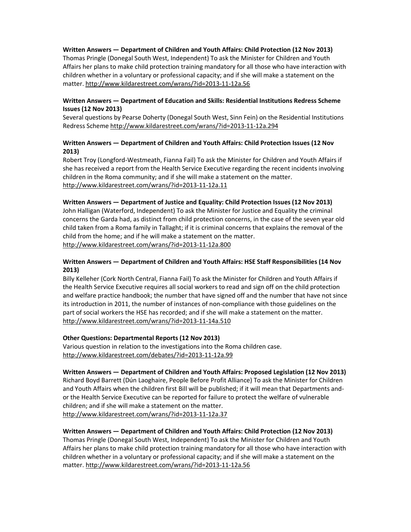### Written Answers — Department of Children and Youth Affairs: Child Protection (12 Nov 2013)

Thomas Pringle (Donegal South West, Independent) To ask the Minister for Children and Youth Affairs her plans to make child protection training mandatory for all those who have interaction with children whether in a voluntary or professional capacity; and if she will make a statement on the matter. http://www.kildarestreet.com/wrans/?id=2013-11-12a.56

#### Written Answers — Department of Education and Skills: Residential Institutions Redress Scheme Issues (12 Nov 2013)

Several questions by Pearse Doherty (Donegal South West, Sinn Fein) on the Residential Institutions Redress Scheme http://www.kildarestreet.com/wrans/?id=2013-11-12a.294

### Written Answers — Department of Children and Youth Affairs: Child Protection Issues (12 Nov 2013)

Robert Troy (Longford-Westmeath, Fianna Fail) To ask the Minister for Children and Youth Affairs if she has received a report from the Health Service Executive regarding the recent incidents involving children in the Roma community; and if she will make a statement on the matter. http://www.kildarestreet.com/wrans/?id=2013-11-12a.11

#### Written Answers — Department of Justice and Equality: Child Protection Issues (12 Nov 2013)

John Halligan (Waterford, Independent) To ask the Minister for Justice and Equality the criminal concerns the Garda had, as distinct from child protection concerns, in the case of the seven year old child taken from a Roma family in Tallaght; if it is criminal concerns that explains the removal of the child from the home; and if he will make a statement on the matter. http://www.kildarestreet.com/wrans/?id=2013-11-12a.800

#### Written Answers — Department of Children and Youth Affairs: HSE Staff Responsibilities (14 Nov 2013)

Billy Kelleher (Cork North Central, Fianna Fail) To ask the Minister for Children and Youth Affairs if the Health Service Executive requires all social workers to read and sign off on the child protection and welfare practice handbook; the number that have signed off and the number that have not since its introduction in 2011, the number of instances of non-compliance with those guidelines on the part of social workers the HSE has recorded; and if she will make a statement on the matter. http://www.kildarestreet.com/wrans/?id=2013-11-14a.510

#### Other Questions: Departmental Reports (12 Nov 2013)

Various question in relation to the investigations into the Roma children case. http://www.kildarestreet.com/debates/?id=2013-11-12a.99

#### Written Answers — Department of Children and Youth Affairs: Proposed Legislation (12 Nov 2013)

Richard Boyd Barrett (Dún Laoghaire, People Before Profit Alliance) To ask the Minister for Children and Youth Affairs when the children first Bill will be published; if it will mean that Departments andor the Health Service Executive can be reported for failure to protect the welfare of vulnerable children; and if she will make a statement on the matter. http://www.kildarestreet.com/wrans/?id=2013-11-12a.37

#### Written Answers — Department of Children and Youth Affairs: Child Protection (12 Nov 2013)

Thomas Pringle (Donegal South West, Independent) To ask the Minister for Children and Youth Affairs her plans to make child protection training mandatory for all those who have interaction with children whether in a voluntary or professional capacity; and if she will make a statement on the matter. http://www.kildarestreet.com/wrans/?id=2013-11-12a.56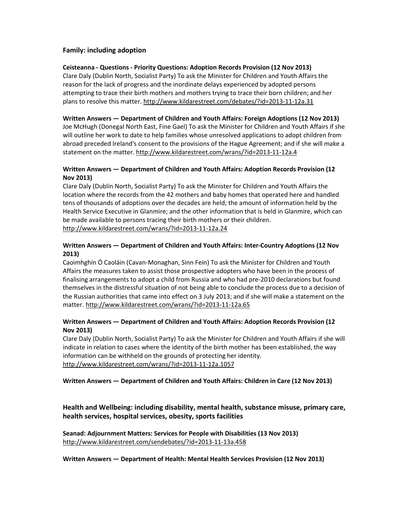### Family: including adoption

#### Ceisteanna - Questions - Priority Questions: Adoption Records Provision (12 Nov 2013)

Clare Daly (Dublin North, Socialist Party) To ask the Minister for Children and Youth Affairs the reason for the lack of progress and the inordinate delays experienced by adopted persons attempting to trace their birth mothers and mothers trying to trace their born children; and her plans to resolve this matter. http://www.kildarestreet.com/debates/?id=2013-11-12a.31

#### Written Answers — Department of Children and Youth Affairs: Foreign Adoptions (12 Nov 2013)

Joe McHugh (Donegal North East, Fine Gael) To ask the Minister for Children and Youth Affairs if she will outline her work to date to help families whose unresolved applications to adopt children from abroad preceded Ireland's consent to the provisions of the Hague Agreement; and if she will make a statement on the matter. http://www.kildarestreet.com/wrans/?id=2013-11-12a.4

### Written Answers — Department of Children and Youth Affairs: Adoption Records Provision (12 Nov 2013)

Clare Daly (Dublin North, Socialist Party) To ask the Minister for Children and Youth Affairs the location where the records from the 42 mothers and baby homes that operated here and handled tens of thousands of adoptions over the decades are held; the amount of information held by the Health Service Executive in Glanmire; and the other information that is held in Glanmire, which can be made available to persons tracing their birth mothers or their children. http://www.kildarestreet.com/wrans/?id=2013-11-12a.24

### Written Answers — Department of Children and Youth Affairs: Inter-Country Adoptions (12 Nov 2013)

Caoimhghín Ó Caoláin (Cavan-Monaghan, Sinn Fein) To ask the Minister for Children and Youth Affairs the measures taken to assist those prospective adopters who have been in the process of finalising arrangements to adopt a child from Russia and who had pre-2010 declarations but found themselves in the distressful situation of not being able to conclude the process due to a decision of the Russian authorities that came into effect on 3 July 2013; and if she will make a statement on the matter. http://www.kildarestreet.com/wrans/?id=2013-11-12a.65

### Written Answers — Department of Children and Youth Affairs: Adoption Records Provision (12 Nov 2013)

Clare Daly (Dublin North, Socialist Party) To ask the Minister for Children and Youth Affairs if she will indicate in relation to cases where the identity of the birth mother has been established, the way information can be withheld on the grounds of protecting her identity. http://www.kildarestreet.com/wrans/?id=2013-11-12a.1057

#### Written Answers — Department of Children and Youth Affairs: Children in Care (12 Nov 2013)

Health and Wellbeing: including disability, mental health, substance misuse, primary care, health services, hospital services, obesity, sports facilities

Seanad: Adjournment Matters: Services for People with Disabilities (13 Nov 2013) http://www.kildarestreet.com/sendebates/?id=2013-11-13a.458

Written Answers — Department of Health: Mental Health Services Provision (12 Nov 2013)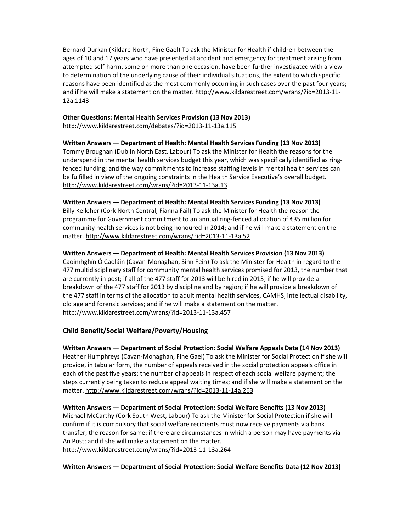Bernard Durkan (Kildare North, Fine Gael) To ask the Minister for Health if children between the ages of 10 and 17 years who have presented at accident and emergency for treatment arising from attempted self-harm, some on more than one occasion, have been further investigated with a view to determination of the underlying cause of their individual situations, the extent to which specific reasons have been identified as the most commonly occurring in such cases over the past four years; and if he will make a statement on the matter. http://www.kildarestreet.com/wrans/?id=2013-11-12a.1143

#### Other Questions: Mental Health Services Provision (13 Nov 2013) http://www.kildarestreet.com/debates/?id=2013-11-13a.115

### Written Answers — Department of Health: Mental Health Services Funding (13 Nov 2013)

Tommy Broughan (Dublin North East, Labour) To ask the Minister for Health the reasons for the underspend in the mental health services budget this year, which was specifically identified as ringfenced funding; and the way commitments to increase staffing levels in mental health services can be fulfilled in view of the ongoing constraints in the Health Service Executive's overall budget. http://www.kildarestreet.com/wrans/?id=2013-11-13a.13

#### Written Answers — Department of Health: Mental Health Services Funding (13 Nov 2013)

Billy Kelleher (Cork North Central, Fianna Fail) To ask the Minister for Health the reason the programme for Government commitment to an annual ring-fenced allocation of €35 million for community health services is not being honoured in 2014; and if he will make a statement on the matter. http://www.kildarestreet.com/wrans/?id=2013-11-13a.52

### Written Answers — Department of Health: Mental Health Services Provision (13 Nov 2013)

Caoimhghín Ó Caoláin (Cavan-Monaghan, Sinn Fein) To ask the Minister for Health in regard to the 477 multidisciplinary staff for community mental health services promised for 2013, the number that are currently in post; if all of the 477 staff for 2013 will be hired in 2013; if he will provide a breakdown of the 477 staff for 2013 by discipline and by region; if he will provide a breakdown of the 477 staff in terms of the allocation to adult mental health services, CAMHS, intellectual disability, old age and forensic services; and if he will make a statement on the matter. http://www.kildarestreet.com/wrans/?id=2013-11-13a.457

### Child Benefit/Social Welfare/Poverty/Housing

#### Written Answers — Department of Social Protection: Social Welfare Appeals Data (14 Nov 2013)

Heather Humphreys (Cavan-Monaghan, Fine Gael) To ask the Minister for Social Protection if she will provide, in tabular form, the number of appeals received in the social protection appeals office in each of the past five years; the number of appeals in respect of each social welfare payment; the steps currently being taken to reduce appeal waiting times; and if she will make a statement on the matter. http://www.kildarestreet.com/wrans/?id=2013-11-14a.263

### Written Answers — Department of Social Protection: Social Welfare Benefits (13 Nov 2013) Michael McCarthy (Cork South West, Labour) To ask the Minister for Social Protection if she will confirm if it is compulsory that social welfare recipients must now receive payments via bank transfer; the reason for same; if there are circumstances in which a person may have payments via An Post; and if she will make a statement on the matter. http://www.kildarestreet.com/wrans/?id=2013-11-13a.264

#### Written Answers — Department of Social Protection: Social Welfare Benefits Data (12 Nov 2013)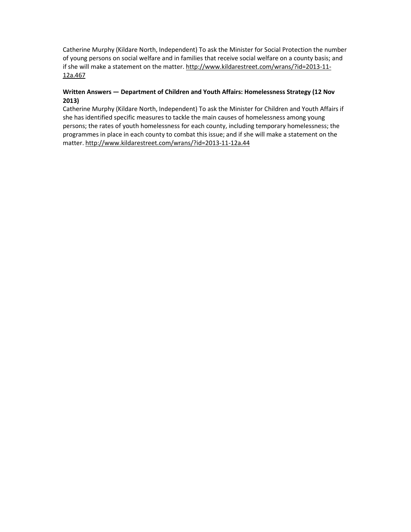Catherine Murphy (Kildare North, Independent) To ask the Minister for Social Protection the number of young persons on social welfare and in families that receive social welfare on a county basis; and if she will make a statement on the matter. http://www.kildarestreet.com/wrans/?id=2013-11-12a.467

### Written Answers — Department of Children and Youth Affairs: Homelessness Strategy (12 Nov 2013)

Catherine Murphy (Kildare North, Independent) To ask the Minister for Children and Youth Affairs if she has identified specific measures to tackle the main causes of homelessness among young persons; the rates of youth homelessness for each county, including temporary homelessness; the programmes in place in each county to combat this issue; and if she will make a statement on the matter. http://www.kildarestreet.com/wrans/?id=2013-11-12a.44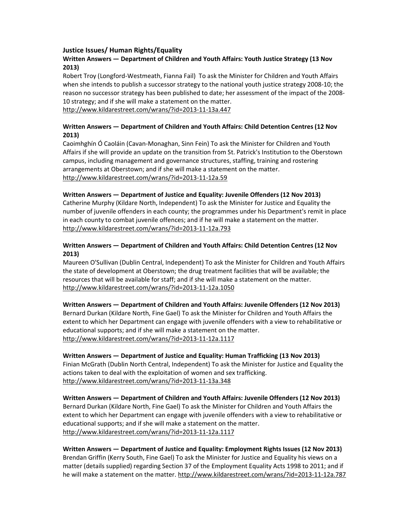#### Justice Issues/ Human Rights/Equality

### Written Answers — Department of Children and Youth Affairs: Youth Justice Strategy (13 Nov 2013)

Robert Troy (Longford-Westmeath, Fianna Fail) To ask the Minister for Children and Youth Affairs when she intends to publish a successor strategy to the national youth justice strategy 2008-10; the reason no successor strategy has been published to date; her assessment of the impact of the 2008- 10 strategy; and if she will make a statement on the matter.

http://www.kildarestreet.com/wrans/?id=2013-11-13a.447

### Written Answers — Department of Children and Youth Affairs: Child Detention Centres (12 Nov 2013)

Caoimhghín Ó Caoláin (Cavan-Monaghan, Sinn Fein) To ask the Minister for Children and Youth Affairs if she will provide an update on the transition from St. Patrick's Institution to the Oberstown campus, including management and governance structures, staffing, training and rostering arrangements at Oberstown; and if she will make a statement on the matter. http://www.kildarestreet.com/wrans/?id=2013-11-12a.59

### Written Answers — Department of Justice and Equality: Juvenile Offenders (12 Nov 2013)

Catherine Murphy (Kildare North, Independent) To ask the Minister for Justice and Equality the number of juvenile offenders in each county; the programmes under his Department's remit in place in each county to combat juvenile offences; and if he will make a statement on the matter. http://www.kildarestreet.com/wrans/?id=2013-11-12a.793

### Written Answers — Department of Children and Youth Affairs: Child Detention Centres (12 Nov 2013)

Maureen O'Sullivan (Dublin Central, Independent) To ask the Minister for Children and Youth Affairs the state of development at Oberstown; the drug treatment facilities that will be available; the resources that will be available for staff; and if she will make a statement on the matter. http://www.kildarestreet.com/wrans/?id=2013-11-12a.1050

#### Written Answers — Department of Children and Youth Affairs: Juvenile Offenders (12 Nov 2013) Bernard Durkan (Kildare North, Fine Gael) To ask the Minister for Children and Youth Affairs the extent to which her Department can engage with juvenile offenders with a view to rehabilitative or

educational supports; and if she will make a statement on the matter. http://www.kildarestreet.com/wrans/?id=2013-11-12a.1117

### Written Answers — Department of Justice and Equality: Human Trafficking (13 Nov 2013) Finian McGrath (Dublin North Central, Independent) To ask the Minister for Justice and Equality the actions taken to deal with the exploitation of women and sex trafficking. http://www.kildarestreet.com/wrans/?id=2013-11-13a.348

### Written Answers — Department of Children and Youth Affairs: Juvenile Offenders (12 Nov 2013) Bernard Durkan (Kildare North, Fine Gael) To ask the Minister for Children and Youth Affairs the extent to which her Department can engage with juvenile offenders with a view to rehabilitative or educational supports; and if she will make a statement on the matter. http://www.kildarestreet.com/wrans/?id=2013-11-12a.1117

# Written Answers — Department of Justice and Equality: Employment Rights Issues (12 Nov 2013)

Brendan Griffin (Kerry South, Fine Gael) To ask the Minister for Justice and Equality his views on a matter (details supplied) regarding Section 37 of the Employment Equality Acts 1998 to 2011; and if he will make a statement on the matter. http://www.kildarestreet.com/wrans/?id=2013-11-12a.787